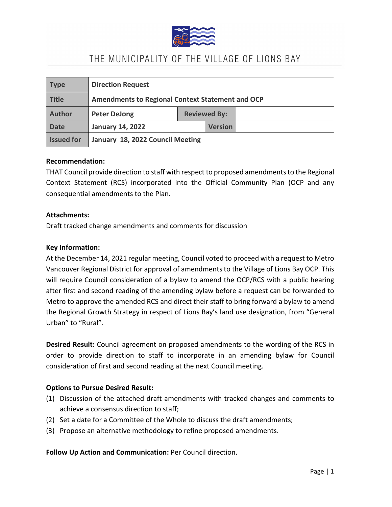

#### THE MUNICIPALITY OF THE VILLAGE OF LIONS BAY

| <b>Type</b>       | <b>Direction Request</b>                                |                     |                |  |
|-------------------|---------------------------------------------------------|---------------------|----------------|--|
| <b>Title</b>      | <b>Amendments to Regional Context Statement and OCP</b> |                     |                |  |
| <b>Author</b>     | <b>Peter DeJong</b>                                     | <b>Reviewed By:</b> |                |  |
| <b>Date</b>       | <b>January 14, 2022</b>                                 |                     | <b>Version</b> |  |
| <b>Issued for</b> | January 18, 2022 Council Meeting                        |                     |                |  |

#### **Recommendation:**

THAT Council provide direction to staff with respect to proposed amendments to the Regional Context Statement (RCS) incorporated into the Official Community Plan (OCP and any consequential amendments to the Plan.

#### **Attachments:**

Draft tracked change amendments and comments for discussion

#### **Key Information:**

At the December 14, 2021 regular meeting, Council voted to proceed with a request to Metro Vancouver Regional District for approval of amendments to the Village of Lions Bay OCP. This will require Council consideration of a bylaw to amend the OCP/RCS with a public hearing after first and second reading of the amending bylaw before a request can be forwarded to Metro to approve the amended RCS and direct their staff to bring forward a bylaw to amend the Regional Growth Strategy in respect of Lions Bay's land use designation, from "General Urban" to "Rural".

**Desired Result:** Council agreement on proposed amendments to the wording of the RCS in order to provide direction to staff to incorporate in an amending bylaw for Council consideration of first and second reading at the next Council meeting.

#### **Options to Pursue Desired Result:**

- (1) Discussion of the attached draft amendments with tracked changes and comments to achieve a consensus direction to staff;
- (2) Set a date for a Committee of the Whole to discuss the draft amendments;
- (3) Propose an alternative methodology to refine proposed amendments.

**Follow Up Action and Communication:** Per Council direction.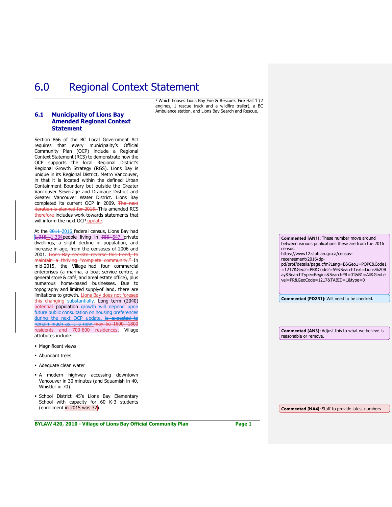#### **6.1 Municipality of Lions Bay Amended Regional Context Statement**

Section 866 of the BC Local Government Act requires that every municipality's Official Community Plan (OCP) include a Regional Context Statement (RCS) to demonstrate how the OCP supports the local Regional District's Regional Growth Strategy (RGS). Lions Bay is unique in its Regional District, Metro Vancouver, in that it is located within the defined Urban Containment Boundary but outside the Greater Vancouver Sewerage and Drainage District and Greater Vancouver Water District. Lions Bay completed its current OCP in 2009. The next iteration is planned for 2016. This amended RCS therefore includes work-towards statements that will inform the next OCP update.

At the 2011-2016 federal census, Lions Bay had 1,318 1,334 people living in 556 547 private dwellings, a slight decline in population, and increase in age, from the censuses of 2006 and 2001. Lions Bay seeksto reverse this trend, to maintain a thriving "complete community." In mid-2015, the Village had four commercial enterprises (a marina, a boat service centre, a general store & café, and areal estate office), plus numerous home-based businesses. Due to topography and limited supplyof land, there are limitations to growth. Lions Bay does not foresee this changing substantially. Long term (2040) potential population growth will depend upon future public consultation on housing preferences during the next OCP update. is expected to remain much as it is now may be 1600- 1800 residents and 700-800 residences. Village attributes include:

- **Magnificent views**
- Abundant trees
- Adequate clean water
- A modern highway accessing downtown Vancouver in 30 minutes (and Squamish in 40, Whistler in 70)
- School District 45's Lions Bay Elementary School with capacity for 60 K-3 students (enrollment in 2015 was 32).

<sup>1</sup> Which houses Lions Bay Fire & Rescue's Fire Hall  $1/2$ engines, 1 rescue truck and a wildfire trailer), a BC Ambulance station, and Lions Bay Search and Rescue.

> **Commented [AN1]:** These number move around between various publications these are from the 2016 census.

https://www12.statcan.gc.ca/censusrecensement/2016/dp-

pd/prof/details/page.cfm?Lang=E&Geo1=POPC&Code1 =1217&Geo2=PR&Code2=59&SearchText=Lions%20B ay&SearchType=Begins&SearchPR=01&B1=All&GeoLe vel=PR&GeoCode=1217&TABID=1&type=0

**Commented [PD2R1]:** Will need to be checked.

**Commented [AN3]:** Adjust this to what we believe is reasonable or remove.

**Commented [NA4]:** Staff to provide latest numbers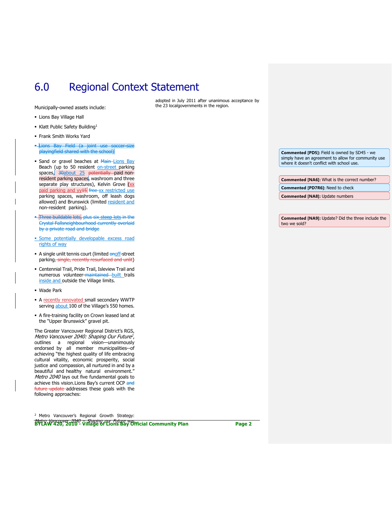Municipally-owned assets include:

- **-** Lions Bay Village Hall
- Klatt Public Safety Building<sup>1</sup>
- Frank Smith Works Yard
- Lions Bay Field (a joint playingfield shared with the school)
- Sand or gravel beaches at Main-Lions Bay Beach (up to 50 resident on-street parking spaces, <del>30<u>about 25</u> <del>potentially </del>paid non-</del> resident parking spaces, washroom and three separate play structures), Kelvin Grove (xx paid parking and yy<sub>15</sub> free xx restricted use parking spaces, washroom, off leash dogs allowed) and Brunswick (limited resident and non-resident parking).
- . Three buildable lots, plus six steep lots in the Crystal Fallsneighbourhood currently overlaid by a private road and bridge
- Some potentially developable excess road rights of way
- A single unlit tennis court (limited onoff-street parking, single, recently resurfaced and unlit)
- Centennial Trail, Pride Trail, Isleview Trail and numerous volunteer-maintained built trails inside and outside the Village limits.
- Wade Park
- A recently renovated small secondary WWTP serving about 100 of the Village's 550 homes.
- A fire-training facility on Crown leased land at the "Upper Brunswick" gravel pit.

The Greater Vancouver Regional District's RGS, Metro Vancouver 2040: Shaping Our Future<sup>2</sup>, outlines a regional vision—unanimously endorsed by all member municipalities--of achieving "the highest quality of life embracing cultural vitality, economic prosperity, social justice and compassion, all nurtured in and by a beautiful and healthy natural environment." Metro 2040 lays out five fundamental goals to achieve this vision.Lions Bay's current OCP and future update addresses these goals with the following approaches:

adopted in July 2011 after unanimous acceptance by the 23 localgovernments in the region.

> simply have an agreement to allow for community use where it doesn't conflict with school use. **Commented [NA6]:** What is the correct number? **Commented [PD7R6]:** Need to check

**Commented [PD5]:** Field is owned by SD45 - we

**Commented [NA8]:** Update numbers

**Commented [NA9]:** Update? Did the three include the two we sold?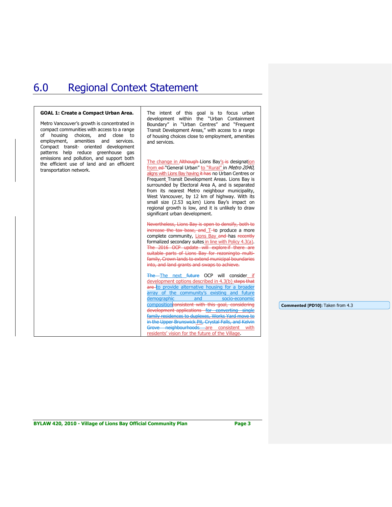#### **GOAL 1: Create a Compact Urban Area.**

Metro Vancouver's growth is concentrated in compact communities with access to a range of housing choices, and close to employment, amenities and services. Compact transit- oriented development patterns help reduce greenhouse gas emissions and pollution, and support both the efficient use of land and an efficient transportation network.

The intent of this goal is to focus urban development within the "Urban Containment Boundary" in "Urban Centres" and "Frequent Transit Development Areas," with access to a range of housing choices close to employment, amenities and services.

The change in Although-Lions Bay's is designation from ed-"General Urban" to "Rural" in Metro 2040, aligns with Lions Bay having it has no Urban Centres or Frequent Transit Development Areas. Lions Bay is surrounded by Electoral Area A, and is separated from its nearest Metro neighbour municipality, West Vancouver, by 12 km of highway. With its small size (2.53 sq.km) Lions Bay's impact on regional growth is low, and it is unlikely to draw significant urban development.

Nevertheless, Lions Bay is open to densify, both to increase the tax base, and T-to produce a more complete community, Lions Bay and has recently formalized secondary suites in line with Policy 4.3(a). The 2016 OCP update will explore if there are suitable parts of Lions Bay for rezoningto multifamily, Crown lands to extend municipal boundaries into, and land grants and swaps to achieve.

The The next future OCP will consider if development options described in 4.3(b) steps that are to provide alternative housing for a broader array of the community's existing and future<br>demographic and socio-economic socio-economic compositionconsistent with this goal, considering development applications for converting single family residences to duplexes, Works Yard move to in the Upper Brunswick Pit, Crystal Falls, and Kelvin Grove neighbourhoods are consistent with residents' vision for the future of the Village.

**Commented [PD10]:** Taken from 4.3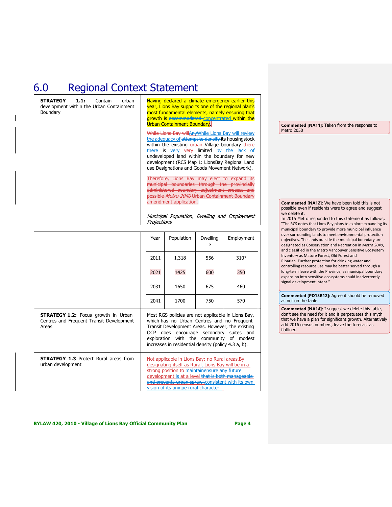**STRATEGY 1.1:** Contain urban development within the Urban Containment Boundary

Having declared a climate emergency earlier this year, Lions Bay supports one of the regional plan's most fundamental elements, namely ensuring that growth is accommodated concentrated within the **Urban Containment Boundary.** 

While Lions Bay willAnyWhile Lions Bay will review the adequacy of attempt to densify its housingstock within the existing urban Village boundary there there is very very limited by the lack of undeveloped land within the boundary for new development (RCS Map 1: LionsBay Regional Land use Designations and Goods Movement Network).

Therefore, Lions Bay may elect to expand its municipal boundaries through the provincially administered boundary adjustment process and possible *Metro 2040* Urban Containment Boundary amendment application.

Municipal Population, Dwelling and Employment Projections

|                                                                                                 | Year                                                                                                                                                                                                                                                                                                      | Population | <b>Dwelling</b><br>s | Employment       |
|-------------------------------------------------------------------------------------------------|-----------------------------------------------------------------------------------------------------------------------------------------------------------------------------------------------------------------------------------------------------------------------------------------------------------|------------|----------------------|------------------|
|                                                                                                 | 2011                                                                                                                                                                                                                                                                                                      | 1,318      | 556                  | 310 <sup>3</sup> |
|                                                                                                 | 2021                                                                                                                                                                                                                                                                                                      | 1425       | 600                  | 350              |
|                                                                                                 | 2031                                                                                                                                                                                                                                                                                                      | 1650       | 675                  | 460              |
|                                                                                                 | 2041                                                                                                                                                                                                                                                                                                      | 1700       | 750                  | 570              |
| <b>STRATEGY 1.2:</b> Focus growth in Urban<br>Centres and Frequent Transit Development<br>Areas | Most RGS policies are not applicable in Lions Bay,<br>which has no Urban Centres and no Frequent<br>Transit Development Areas. However, the existing<br>OCP does encourage secondary suites and<br>exploration with the community of modest<br>increases in residential density (policy 4.3 a, b).        |            |                      |                  |
| <b>STRATEGY 1.3</b> Protect Rural areas from<br>urban development                               | Not applicable in Lions Bay: no Rural areas. By<br>designating itself as Rural, Lions Bay will be in a<br>strong position to maintainensure any future<br>development is at a level that is both manageable<br>and prevents urban sprawl.consistent with its own<br>vision of its unique rural character. |            |                      |                  |

**Commented [NA11]:** Taken from the response to Metro 2050

**Commented [NA12]:** We have been told this is not possible even if residents were to agree and suggest we delete it.

In 2015 Metro responded to this statement as follows; "The RCS notes that Lions Bay plans to explore expanding its municipal boundary to provide more municipal influence over surrounding lands to meet environmental protection objectives. The lands outside the municipal boundary are designated as Conservation and Recreation in *Metro 2040*, and classified in the Metro Vancouver Sensitive Ecosystem Inventory as Mature Forest, Old Forest and Riparian. Further protection for drinking water and

controlling resource use may be better served through a long‐term lease with the Province, as municipal boundary expansion into sensitive ecosystems could inadvertently signal development intent."

**Commented [PD13R12]:** Agree it should be removed as not on the table.

**Commented [NA14]:** I suggest we delete this table, don't see the need for it and it perpetuates this myth that we have a plan for significant growth. Alternatively add 2016 census numbers, leave the forecast as flatlined.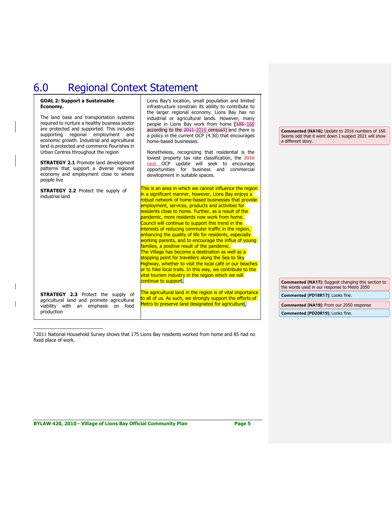#### **GOAL 2: Support a Sustainable Economy.**

The land base and transportation systems required to nurture a healthy business sector are protected and supported. This includes supporting regional employment and economic growth. Industrial and agricultural land is protected and commerce flourishes in Urban Centres throughout the region

**STRATEGY 2.1 Promote land development** patterns that support a diverse regional economy and employment close to where people live

**STRATEGY 2.2** Protect the supply of industrial land

**STRATEGY 2.3** Protect the supply of agricultural land and promote agricultural viability with an emphasis on food

production

Lions Bay's location, small population and limited infrastructure constrain its ability to contribute to the larger regional economy. Lions Bay has no industrial or agricultural lands. However, many people in Lions Bay work from home  $(185 - 160)$ according to the 2011-2016 census<sup>3</sup>) and there is a policy in the current OCP (4.3d) that encourages home-based businesses.

Nonetheless, recognizing that residential is the lowest property tax rate classification, the 2016 next OCP update will seek to encourage opportunities for business and commercial development in suitable spaces.

This is an area in which we cannot influence the region in a significant manner, however, Lions Bay enjoys a robust network of home-based businesses that provide employment, services, products and activities for residents close to home. Further, as a result of the pandemic, more residents now work from home. Council will continue to support this trend in the interests of reducing commuter traffic in the region, enhancing the quality of life for residents, especially working parents, and to encourage the influx of young families, a positive result of the pandemic. The Village has become a destination as well as a stopping point for travellers along the Sea to Sky Highway, whether to visit the local café or our beaches or to hike local trails. In this way, we contribute to the vital tourism industry in the region which we will continue to support.

The agricultural land in the region is of vital importance to all of us. As such, we strongly support the efforts of Metro to preserve land designated for agriculture.

**Commented [NA16]:** Update to 2016 numbers of 160. Seems odd that it went down I suspect 2021 will show a different story.

**Commented [NA17]:** Suggest changing this section to the words used in our response to Metro 2050

**Commented [PD18R17]:** Looks fine.

**Commented [NA19]:** From our 2050 response

**Commented [PD20R19]:** Looks fine.

<sup>3</sup> 2011 National Household Survey shows that 175 Lions Bay residents worked from home and 85 had no fixed place of work.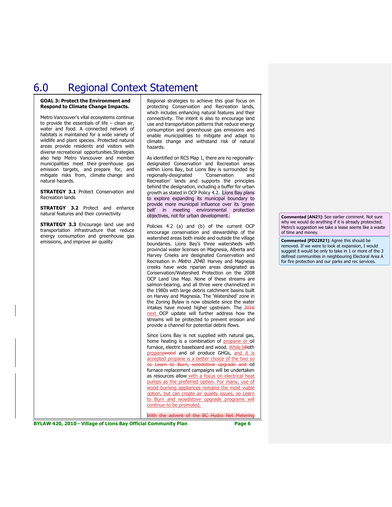#### **GOAL 3: Protect the Environment and Respond to Climate Change Impacts.**

Metro Vancouver's vital ecosystems continue to provide the essentials of life – clean air, water and food. A connected network of habitats is maintained for a wide variety of wildlife and plant species. Protected natural areas provide residents and visitors with diverse recreational opportunities.Strategies also help Metro Vancouver and member municipalities meet their greenhouse gas emission targets, and prepare for, and mitigate risks from, climate change and natural hazards.

**STRATEGY 3.1 Protect Conservation and** Recreation lands

**STRATEGY 3.2** Protect and enhance natural features and their connectivity

**STRATEGY 3.3** Encourage land use and transportation infrastructure that reduce energy consumption and greenhouse gas emissions, and improve air quality

Regional strategies to achieve this goal focus on protecting Conservation and Recreation lands, which includes enhancing natural features and their connectivity. The intent is also to encourage land use and transportation patterns that reduce energy consumption and greenhouse gas emissions and enable municipalities to mitigate and adapt to climate change and withstand risk of natural hazards.

As identified on RCS Map 1, there are no regionallydesignated Conservation and Recreation areas within Lions Bay, but Lions Bay is surrounded by regionally-designated Conservation and regionally-designated 'Conservation and Recreation' lands and supports the principles behind the designation, including a buffer for urban growth as stated in OCP Policy 4.2. Lions Bay plans to explore expanding its municipal boundary to provide more municipal influence over its 'green belt' in meeting environmental protection objectives, not for urban development.

Policies 4.2 (a) and (b) of the current OCP encourage conservation and stewardship of the watershed areas both inside and outside the village boundaries. Lions Bay's three watersheds with provincial water licenses on Magnesia, Alberta and Harvey Creeks are designated Conservation and Recreation in Metro 2040. Harvey and Magnesia creeks have wide riparian areas designated as Conservation/Watershed Protection on the 2008 OCP Land Use Map. None of these streams are salmon-bearing, and all three were channelized in the 1980s with large debris catchment basins built on Harvey and Magnesia. The 'Watershed' zone in the Zoning Bylaw is now obsolete since the water intakes have moved higher upstream. The 2016 next\_OCP update will further address how the streams will be protected to prevent erosion and provide a channel for potential debris flows.

Since Lions Bay is not supplied with natural gas, home heating is a combination of propane or oil furnace, electric baseboard and wood. While bBoth propanewood and oil produce GHGs, and it is accepted propane is a better choice of the two so so Learn to Burn, woodstove upgrade and oil furnace replacement campaigns will be undertaken as resources allow with a focus on electrical heat pumps as the preferred option. For many, use of wood burning appliances remains the most viable option, but can create air quality issues, so Learn to Burn and woodstove upgrade programs will continue to be promoted.

With the advent of the BC Hydro Net Metering

**BYLAW 420, 2010 - Village of Lions Bay Official Community Plan Page 6**

**Commented [AN21]:** See earlier comment. Not sure why we would do anything if it is already protexcted. Metro's suggestion we take a lease seems like a waste of time and money.

**Commented [PD22R21]:** Agree this should be removed. If we were to look at expansion, I would suggest it would be only to take in 1 or more of the 3 defined communities in neighbouring Electoral Area A for fire protection and our parks and rec services.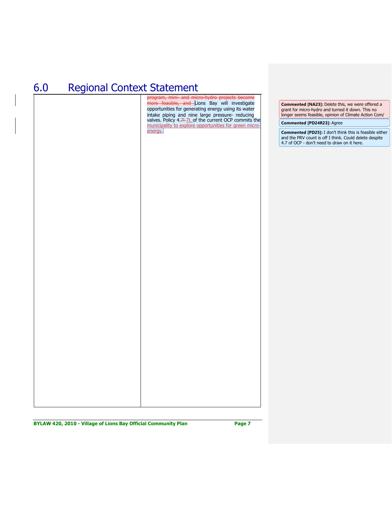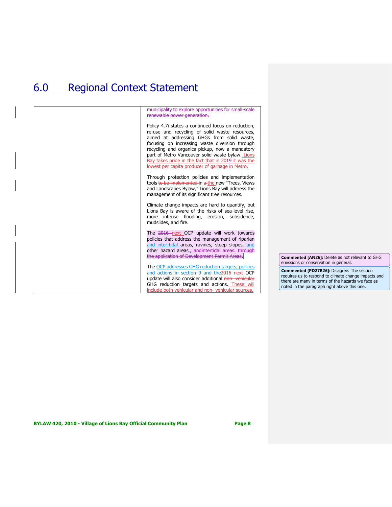| municipality to explore opportunities for small-scale<br>renewable power generation.                                                                                                                                                                                                                                                                                                                                 |                                                                                                                                                                                                                |
|----------------------------------------------------------------------------------------------------------------------------------------------------------------------------------------------------------------------------------------------------------------------------------------------------------------------------------------------------------------------------------------------------------------------|----------------------------------------------------------------------------------------------------------------------------------------------------------------------------------------------------------------|
| Policy 4.7i states a continued focus on reduction,<br>re-use and recycling of solid waste resources,<br>aimed at addressing GHGs from solid waste,<br>focusing on increasing waste diversion through<br>recycling and organics pickup, now a mandatory<br>part of Metro Vancouver solid waste bylaw. Lions<br>Bay takes pride in the fact that in 2019 it was the<br>lowest per capita producer of garbage in Metro. |                                                                                                                                                                                                                |
| Through protection policies and implementation<br>tools to be implemented in a the new "Trees, Views<br>and Landscapes Bylaw," Lions Bay will address the<br>management of its significant tree resources.                                                                                                                                                                                                           |                                                                                                                                                                                                                |
| Climate change impacts are hard to quantify, but<br>Lions Bay is aware of the risks of sea-level rise,<br>more intense flooding, erosion, subsidence,<br>mudslides, and fire.                                                                                                                                                                                                                                        |                                                                                                                                                                                                                |
| The 2016 next OCP update will work towards<br>policies that address the management of riparian<br>and inter-tidal areas, ravines, steep slopes, and<br>other hazard areas., andintertidal areas. through                                                                                                                                                                                                             |                                                                                                                                                                                                                |
| the application of Development Permit Areas.                                                                                                                                                                                                                                                                                                                                                                         | <b>Commented [AN26]:</b> Delete as not relevant to GHG<br>emissions or conservation in general.                                                                                                                |
| The OCP addresses GHG reduction targets, policies<br>and actions in section 9 and the 2016 next OCP<br>update will also consider additional non-vehicular<br>GHG reduction targets and actions. These will<br>include both vehicular and non-vehicular sources.                                                                                                                                                      | <b>Commented [PD27R26]:</b> Disagree. The section<br>requires us to respond to climate change impacts and<br>there are many in terms of the hazards we face as<br>noted in the paragraph right above this one. |
|                                                                                                                                                                                                                                                                                                                                                                                                                      |                                                                                                                                                                                                                |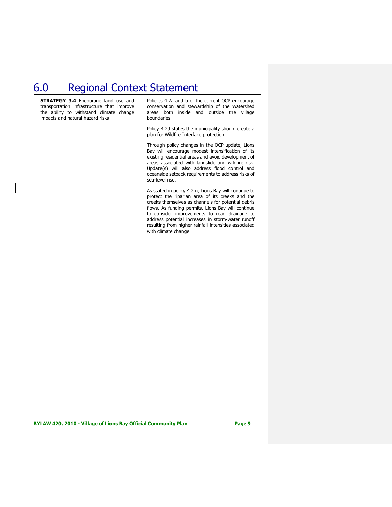| <b>STRATEGY 3.4</b> Encourage land use and<br>transportation infrastructure that improve<br>the ability to withstand climate change<br>impacts and natural hazard risks | Policies 4.2a and b of the current OCP encourage<br>conservation and stewardship of the watershed<br>areas both inside and outside the village<br>boundaries.                                                                                                                                                                                                                                              |
|-------------------------------------------------------------------------------------------------------------------------------------------------------------------------|------------------------------------------------------------------------------------------------------------------------------------------------------------------------------------------------------------------------------------------------------------------------------------------------------------------------------------------------------------------------------------------------------------|
|                                                                                                                                                                         | Policy 4.2d states the municipality should create a<br>plan for Wildfire Interface protection.                                                                                                                                                                                                                                                                                                             |
|                                                                                                                                                                         | Through policy changes in the OCP update, Lions<br>Bay will encourage modest intensification of its<br>existing residential areas and avoid development of<br>areas associated with landslide and wildfire risk.<br>Update(s) will also address flood control and<br>oceanside setback requirements to address risks of<br>sea-level rise.                                                                 |
|                                                                                                                                                                         | As stated in policy 4.2-n, Lions Bay will continue to<br>protect the riparian area of its creeks and the<br>creeks themselves as channels for potential debris<br>flows. As funding permits, Lions Bay will continue<br>to consider improvements to road drainage to<br>address potential increases in storm-water runoff<br>resulting from higher rainfall intensities associated<br>with climate change. |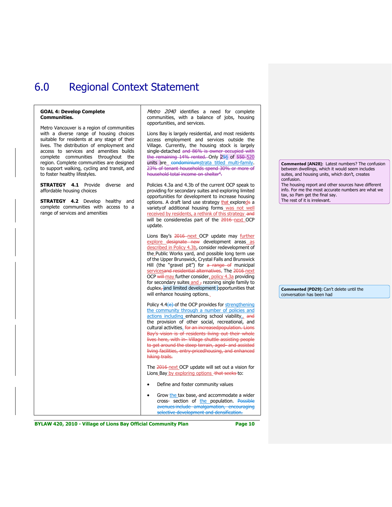#### **GOAL 4: Develop Complete Communities.**

Metro Vancouver is a region of communities with a diverse range of housing choices suitable for residents at any stage of their lives. The distribution of employment and access to services and amenities builds complete communities throughout the region. Complete communities are designed to support walking, cycling and transit, and to foster healthy lifestyles.

**STRATEGY 4.1** Provide diverse and affordable housing choices

**STRATEGY 4.2** Develop healthy and complete communities with access to a range of services and amenities

Metro 2040 identifies a need for complete communities, with a balance of jobs, housing opportunities, and services.

Lions Bay is largely residential, and most residents access employment and services outside the Village. Currently, the housing stock is largely single-detached and 86% is owner occupied with the remaining 14% rented. Only 256 of 550-520 units are condominiumstrata titled multi-family. 23% of tenant households spend 30% or more of household total income on shelter<sup>4</sup>.

Policies 4.3a and 4.3b of the current OCP speak to providing for secondary suites and exploring limited opportunities for development to increase housing options. A draft land use strategy that exploreds a variety of additional housing forms was not well received by residents, a rethink of this strategy and will be consideredas part of the 2016 next OCP update.

Lions Bay's 2016 next OCP update may further explore designate new development areas as described in Policy 4.3b, consider redevelopment of the Public Works yard, and possible long term use of the Upper Brunswick, Crystal Falls and Brunswick Hill (the "gravel pit") for a range of municipal servicesand residential alternatives. The 2016 next OCP will-may further consider, policy 4.3a providing for secondary suites  $and$  , rezoning single family to duplex<sub>7</sub> and limited development opportunities that will enhance housing options.

Policy 4.4(e) of the OCP provides for strengthening the community through a number of policies and actions including enhancing school viability<sub>1</sub> and the provision of other social, recreational, and cultural activities. for an increasedpopulation. Lions Bay's vision is of residents living out their whole lives here, with in- Village shuttle assisting people to get around the steep terrain, aged- and assisted living facilities, entry-pricedhousing, and enhanced hiking trails.

The 2016 next OCP update will set out a vision for Lions Bay by exploring options that seeks to:

- Define and foster community values
- Grow the tax base,-and accommodate a wider cross- section of the population. Possible avenues include amalgamation, encouraging selective development and densification.

**Commented [AN28]:** Latest numbers? The confusion between dwellings, which it would seem includes suites, and housing units, which don't, creates confusion. The housing report and other sources have different

info. For me the most accurate numbers are what we tax, so Pam get the final say. The rest of it is irrelevant.

**Commented [PD29]:** Can't delete until the conversation has been had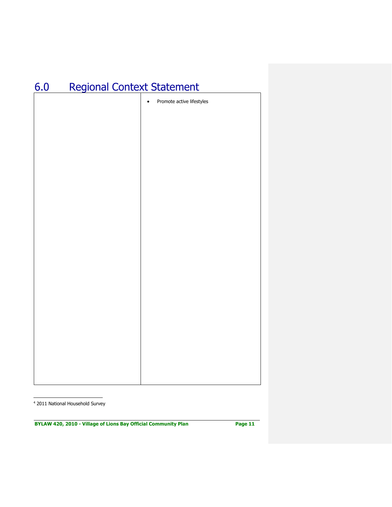| Promote active lifestyles<br>$\bullet$ |
|----------------------------------------|
|                                        |
|                                        |
|                                        |
|                                        |
|                                        |
|                                        |
|                                        |
|                                        |
|                                        |
|                                        |
|                                        |
|                                        |
|                                        |
|                                        |
|                                        |
|                                        |

<sup>4</sup> 2011 National Household Survey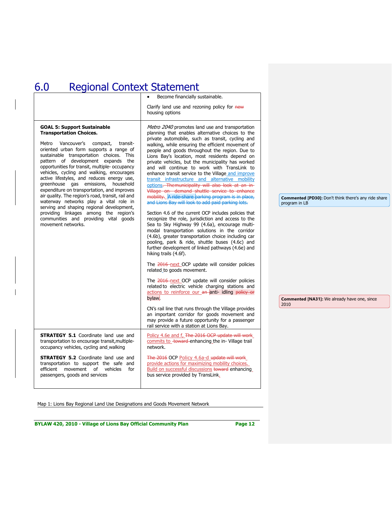|                                                                                                                                                                                                                                                                                                                                                                                                                                                                                                                                                                                                                                                                                                                                      | Become financially sustainable.                                                                                                                                                                                                                                                                                                                                                                                                                                                                                                                                                                                                                                                                                                                                                                                                                                                                                                                                                                                                                                                                                                                                                                                                                                                                                                                                                                                                                                                                                                                                                                                             |                                                                                                                                             |
|--------------------------------------------------------------------------------------------------------------------------------------------------------------------------------------------------------------------------------------------------------------------------------------------------------------------------------------------------------------------------------------------------------------------------------------------------------------------------------------------------------------------------------------------------------------------------------------------------------------------------------------------------------------------------------------------------------------------------------------|-----------------------------------------------------------------------------------------------------------------------------------------------------------------------------------------------------------------------------------------------------------------------------------------------------------------------------------------------------------------------------------------------------------------------------------------------------------------------------------------------------------------------------------------------------------------------------------------------------------------------------------------------------------------------------------------------------------------------------------------------------------------------------------------------------------------------------------------------------------------------------------------------------------------------------------------------------------------------------------------------------------------------------------------------------------------------------------------------------------------------------------------------------------------------------------------------------------------------------------------------------------------------------------------------------------------------------------------------------------------------------------------------------------------------------------------------------------------------------------------------------------------------------------------------------------------------------------------------------------------------------|---------------------------------------------------------------------------------------------------------------------------------------------|
|                                                                                                                                                                                                                                                                                                                                                                                                                                                                                                                                                                                                                                                                                                                                      | Clarify land use and rezoning policy for new<br>housing options                                                                                                                                                                                                                                                                                                                                                                                                                                                                                                                                                                                                                                                                                                                                                                                                                                                                                                                                                                                                                                                                                                                                                                                                                                                                                                                                                                                                                                                                                                                                                             |                                                                                                                                             |
| <b>GOAL 5: Support Sustainable</b><br><b>Transportation Choices.</b><br>Metro Vancouver's<br>compact,<br>transit-<br>oriented urban form supports a range of<br>sustainable transportation choices. This<br>pattern of development expands the<br>opportunities for transit, multiple-occupancy<br>vehicles, cycling and walking, encourages<br>active lifestyles, and reduces energy use,<br>greenhouse gas emissions, household<br>expenditure on transportation, and improves<br>air quality. The region's road, transit, rail and<br>waterway networks play a vital role in<br>serving and shaping regional development,<br>providing linkages among the region's<br>communities and providing vital goods<br>movement networks. | Metro 2040 promotes land use and transportation<br>planning that enables alternative choices to the<br>private automobile, such as transit, cycling and<br>walking, while ensuring the efficient movement of<br>people and goods throughout the region. Due to<br>Lions Bay's location, most residents depend on<br>private vehicles, but the municipality has worked<br>and will continue to work with TransLink to<br>enhance transit service to the Village and improve<br>transit infrastructure and alternative mobility<br>options. Themunicipality will also look at an in-<br>Village on demand shuttle service to enhance<br>mobility. A ride share parking program is in place,<br>and Lions Bay will look to add paid parking lots.<br>Section 4.6 of the current OCP includes policies that<br>recognize the role, jurisdiction and access to the<br>Sea to Sky Highway 99 (4.6a), encourage multi-<br>modal transportation solutions in the corridor<br>(4.6b), greater transportation choice including car<br>pooling, park & ride, shuttle buses (4.6c) and<br>further development of linked pathways (4.6e) and<br>hiking trails (4.6f).<br>The 2016 next OCP update will consider policies<br>related to goods movement.<br>The 2016 next OCP update will consider policies<br>related to electric vehicle charging stations and<br>actions to reinforce our an anti- idling policy or<br>bvlaw.<br>CN's rail line that runs through the Village provides<br>an important corridor for goods movement and<br>may provide a future opportunity for a passenger<br>rail service with a station at Lions Bay. | <b>Commented [PD30]:</b> Don't think there's any ride share<br>program in LB<br><b>Commented [NA31]:</b> We already have one, since<br>2010 |
| <b>STRATEGY 5.1</b> Coordinate land use and<br>transportation to encourage transit, multiple-<br>occupancy vehicles, cycling and walking                                                                                                                                                                                                                                                                                                                                                                                                                                                                                                                                                                                             | Policy 4.6e and f, The 2016 OCP update will work<br>commits to toward enhancing the in-Village trail<br>network.                                                                                                                                                                                                                                                                                                                                                                                                                                                                                                                                                                                                                                                                                                                                                                                                                                                                                                                                                                                                                                                                                                                                                                                                                                                                                                                                                                                                                                                                                                            |                                                                                                                                             |
| <b>STRATEGY 5.2</b> Coordinate land use and<br>transportation to support the safe and<br>efficient movement of vehicles<br>for<br>passengers, goods and services                                                                                                                                                                                                                                                                                                                                                                                                                                                                                                                                                                     | The 2016 OCP Policy 4.6a-d update will work<br>provide actions for maximizing mobility choices.<br>Build on successful discussions toward enhancing<br>bus service provided by TransLink.                                                                                                                                                                                                                                                                                                                                                                                                                                                                                                                                                                                                                                                                                                                                                                                                                                                                                                                                                                                                                                                                                                                                                                                                                                                                                                                                                                                                                                   |                                                                                                                                             |
|                                                                                                                                                                                                                                                                                                                                                                                                                                                                                                                                                                                                                                                                                                                                      |                                                                                                                                                                                                                                                                                                                                                                                                                                                                                                                                                                                                                                                                                                                                                                                                                                                                                                                                                                                                                                                                                                                                                                                                                                                                                                                                                                                                                                                                                                                                                                                                                             |                                                                                                                                             |

Map 1: Lions Bay Regional Land Use Designations and Goods Movement Network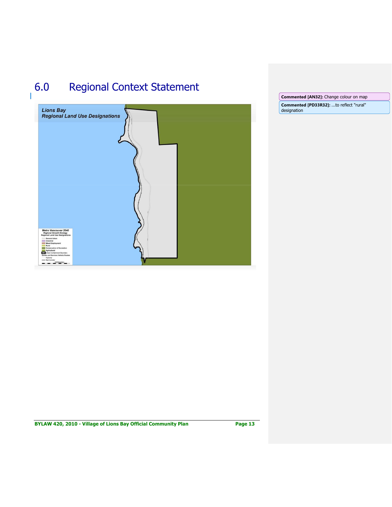

**Commented [AN32]:** Change colour on map **Commented [PD33R32]:** ...to reflect "rural" designation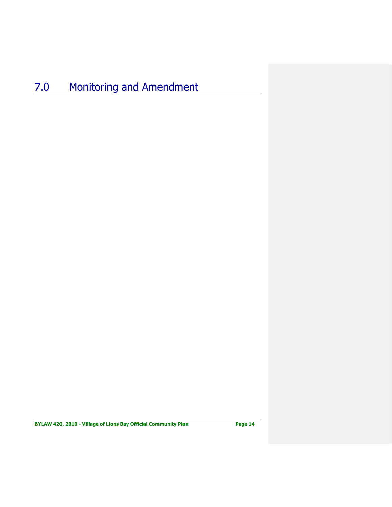## 7.0 Monitoring and Amendment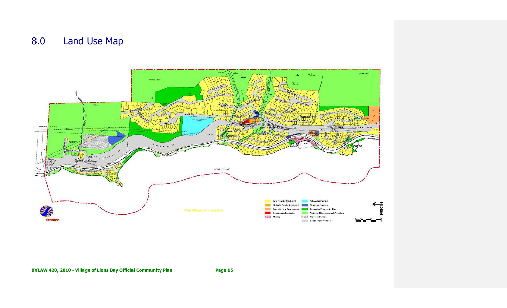# 8.0 Land Use Map

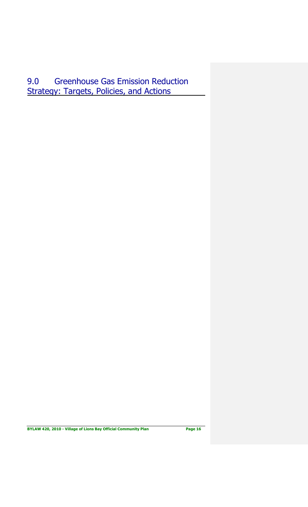9.0 Greenhouse Gas Emission Reduction **Strategy: Targets, Policies, and Actions**